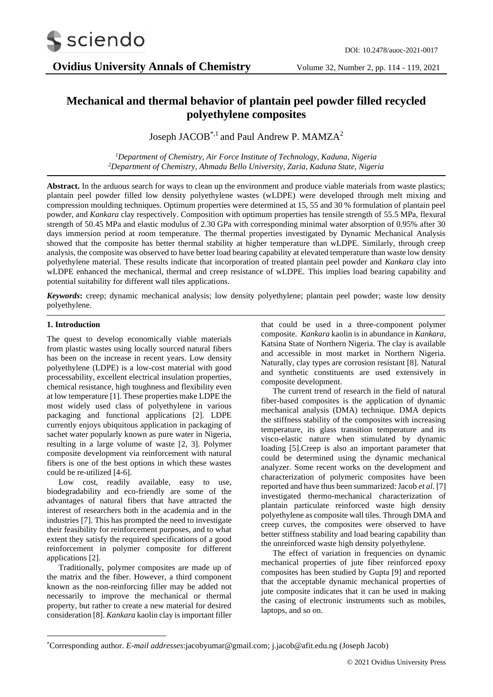

# **Mechanical and thermal behavior of plantain peel powder filled recycled polyethylene composites**

Joseph JACOB<sup>\*,1</sup> and Paul Andrew P. MAMZA<sup>2</sup>

*<sup>1</sup>Department of Chemistry, Air Force Institute of Technology, Kaduna, Nigeria <sup>2</sup>Department of Chemistry, Ahmadu Bello University, Zaria, Kaduna State, Nigeria*

**Abstract.** In the arduous search for ways to clean up the environment and produce viable materials from waste plastics; plantain peel powder filled low density polyethylene wastes (wLDPE) were developed through melt mixing and compression moulding techniques. Optimum properties were determined at 15, 55 and 30 % formulation of plantain peel powder, and *Kankara* clay respectively. Composition with optimum properties has tensile strength of 55.5 MPa, flexural strength of 50.45 MPa and elastic modulus of 2.30 GPa with corresponding minimal water absorption of 0.95% after 30 days immersion period at room temperature. The thermal properties investigated by Dynamic Mechanical Analysis showed that the composite has better thermal stability at higher temperature than wLDPE. Similarly, through creep analysis, the composite was observed to have better load bearing capability at elevated temperature than waste low density polyethylene material. These results indicate that incorporation of treated plantain peel powder and *Kankara* clay into wLDPE enhanced the mechanical, thermal and creep resistance of wLDPE. This implies load bearing capability and potential suitability for different wall tiles applications.

*Keywords***:** creep; dynamic mechanical analysis; low density polyethylene; plantain peel powder; waste low density polyethylene.

#### **1. Introduction**

The quest to develop economically viable materials from plastic wastes using locally sourced natural fibers has been on the increase in recent years. Low density polyethylene (LDPE) is a low-cost material with good processability, excellent electrical insulation properties, chemical resistance, high toughness and flexibility even at low temperature [1]. These properties make LDPE the most widely used class of polyethylene in various packaging and functional applications [2]. LDPE currently enjoys ubiquitous application in packaging of sachet water popularly known as pure water in Nigeria, resulting in a large volume of waste [2, 3]. Polymer composite development via reinforcement with natural fibers is one of the best options in which these wastes could be re-utilized [4-6].

Low cost, readily available, easy to use, biodegradability and eco-friendly are some of the advantages of natural fibers that have attracted the interest of researchers both in the academia and in the industries [7]. This has prompted the need to investigate their feasibility for reinforcement purposes, and to what extent they satisfy the required specifications of a good reinforcement in polymer composite for different applications [2].

Traditionally, polymer composites are made up of the matrix and the fiber. However, a third component known as the non-reinforcing filler may be added not necessarily to improve the mechanical or thermal property, but rather to create a new material for desired consideration [8]. *Kankara* kaolin clay is important filler

that could be used in a three-component polymer composite. *Kankara* kaolin is in abundance in *Kankara,* Katsina State of Northern Nigeria. The clay is available and accessible in most market in Northern Nigeria. Naturally, clay types are corrosion resistant [8]. Natural and synthetic constituents are used extensively in composite development.

The current trend of research in the field of natural fiber-based composites is the application of dynamic mechanical analysis (DMA) technique. DMA depicts the stiffness stability of the composites with increasing temperature, its glass transition temperature and its visco-elastic nature when stimulated by dynamic loading [5].Creep is also an important parameter that could be determined using the dynamic mechanical analyzer. Some recent works on the development and characterization of polymeric composites have been reported and have thus been summarized: Jacob *et al*. [7] investigated thermo-mechanical characterization of plantain particulate reinforced waste high density polyethylene as composite wall tiles. Through DMA and creep curves, the composites were observed to have better stiffness stability and load bearing capability than the unreinforced waste high density polyethylene.

The effect of variation in frequencies on dynamic mechanical properties of jute fiber reinforced epoxy composites has been studied by Gupta [9] and reported that the acceptable dynamic mechanical properties of jute composite indicates that it can be used in making the casing of electronic instruments such as mobiles, laptops, and so on.

<sup>\*</sup>Corresponding author. *E-mail addresses*:jacobyumar@gmail.com; j.jacob@afit.edu.ng (Joseph Jacob)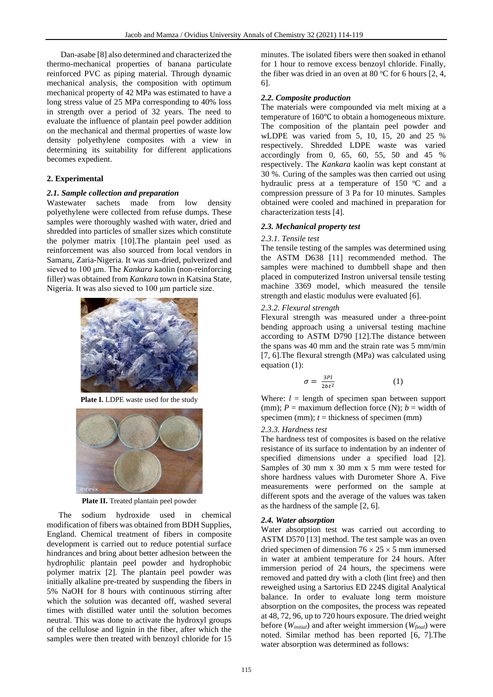Dan-asabe [8] also determined and characterized the thermo-mechanical properties of banana particulate reinforced PVC as piping material. Through dynamic mechanical analysis, the composition with optimum mechanical property of 42 MPa was estimated to have a long stress value of 25 MPa corresponding to 40% loss in strength over a period of 32 years. The need to evaluate the influence of plantain peel powder addition on the mechanical and thermal properties of waste low density polyethylene composites with a view in determining its suitability for different applications becomes expedient.

## **2. Experimental**

#### *2.1. Sample collection and preparation*

Wastewater sachets made from low density polyethylene were collected from refuse dumps. These samples were thoroughly washed with water, dried and shredded into particles of smaller sizes which constitute the polymer matrix [10].The plantain peel used as reinforcement was also sourced from local vendors in Samaru, Zaria-Nigeria. It was sun-dried, pulverized and sieved to 100 μm. The *Kankara* kaolin (non-reinforcing filler) was obtained from *Kankara* town in Katsina State, Nigeria. It was also sieved to 100 μm particle size.



**Plate I.** LDPE waste used for the study



**Plate II.** Treated plantain peel powder

The sodium hydroxide used in chemical modification of fibers was obtained from BDH Supplies, England. Chemical treatment of fibers in composite development is carried out to reduce potential surface hindrances and bring about better adhesion between the hydrophilic plantain peel powder and hydrophobic polymer matrix [2]. The plantain peel powder was initially alkaline pre-treated by suspending the fibers in 5% NaOH for 8 hours with continuous stirring after which the solution was decanted off, washed several times with distilled water until the solution becomes neutral. This was done to activate the hydroxyl groups of the cellulose and lignin in the fiber, after which the samples were then treated with benzoyl chloride for 15

minutes. The isolated fibers were then soaked in ethanol for 1 hour to remove excess benzoyl chloride. Finally, the fiber was dried in an oven at 80  $\mathrm{^{\circ}C}$  for 6 hours [2, 4, 6].

## *2.2. Composite production*

The materials were compounded via melt mixing at a temperature of 160℃ to obtain a homogeneous mixture. The composition of the plantain peel powder and wLDPE was varied from 5, 10, 15, 20 and 25 % respectively. Shredded LDPE waste was varied accordingly from 0, 65, 60, 55, 50 and 45 % respectively. The *Kankara* kaolin was kept constant at 30 %. Curing of the samples was then carried out using hydraulic press at a temperature of  $150$  °C and a compression pressure of 3 Pa for 10 minutes. Samples obtained were cooled and machined in preparation for characterization tests [4].

## *2.3. Mechanical property test*

#### *2.3.1. Tensile test*

The tensile testing of the samples was determined using the ASTM D638 [11] recommended method. The samples were machined to dumbbell shape and then placed in computerized Instron universal tensile testing machine 3369 model, which measured the tensile strength and elastic modulus were evaluated [6].

## *2.3.2. Flexural strength*

Flexural strength was measured under a three-point bending approach using a universal testing machine according to ASTM D790 [12].The distance between the spans was 40 mm and the strain rate was 5 mm/min [7, 6].The flexural strength (MPa) was calculated using equation (1):

$$
\sigma = \frac{3Pl}{2bt^2} \tag{1}
$$

Where:  $l =$  length of specimen span between support (mm);  $P =$  maximum deflection force (N);  $b =$  width of specimen (mm);  $t =$  thickness of specimen (mm)

#### *2.3.3. Hardness test*

The hardness test of composites is based on the relative resistance of its surface to indentation by an indenter of specified dimensions under a specified load [2]. Samples of 30 mm x 30 mm x 5 mm were tested for shore hardness values with Durometer Shore A. Five measurements were performed on the sample at different spots and the average of the values was taken as the hardness of the sample [2, 6].

## *2.4. Water absorption*

Water absorption test was carried out according to ASTM D570 [13] method. The test sample was an oven dried specimen of dimension  $76 \times 25 \times 5$  mm immersed in water at ambient temperature for 24 hours. After immersion period of 24 hours, the specimens were removed and patted dry with a cloth (lint free) and then reweighed using a Sartorius ED 224S digital Analytical balance. In order to evaluate long term moisture absorption on the composites, the process was repeated at 48, 72, 96, up to 720 hours exposure. The dried weight before (*Winitial*) and after weight immersion (*Wfinal*) were noted. Similar method has been reported [6, 7].The water absorption was determined as follows: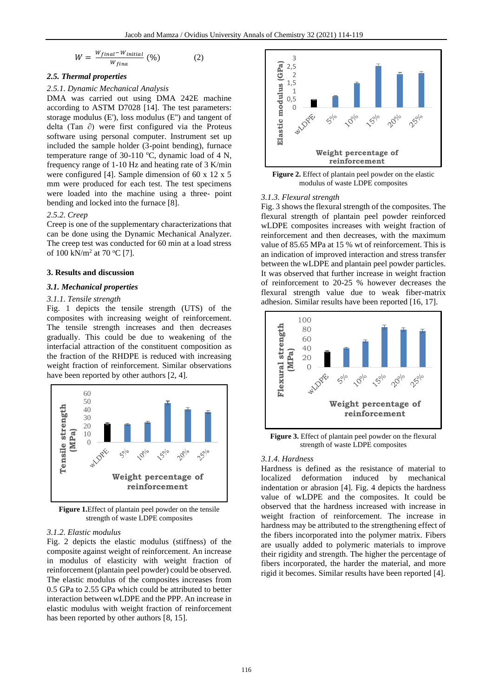$$
W = \frac{W_{final} - W_{initial}}{W_{fina}} \tag{2}
$$

## *2.5. Thermal properties*

#### *2.5.1. Dynamic Mechanical Analysis*

DMA was carried out using DMA 242E machine according to ASTM D7028 [14]. The test parameters: storage modulus (E'), loss modulus (E'') and tangent of delta (Tan ∂) were first configured via the Proteus software using personal computer. Instrument set up included the sample holder (3-point bending), furnace temperature range of 30-110  $\degree$ C, dynamic load of 4 N, frequency range of 1-10 Hz and heating rate of 3 K/min were configured [4]. Sample dimension of 60 x 12 x 5 mm were produced for each test. The test specimens were loaded into the machine using a three- point bending and locked into the furnace [8].

# *2.5.2. Creep*

Creep is one of the supplementary characterizations that can be done using the Dynamic Mechanical Analyzer. The creep test was conducted for 60 min at a load stress of 100 kN/m<sup>2</sup> at 70 °C [7].

#### **3. Results and discussion**

#### *3.1. Mechanical properties*

#### *3.1.1. Tensile strength*

Fig. 1 depicts the tensile strength (UTS) of the composites with increasing weight of reinforcement. The tensile strength increases and then decreases gradually. This could be due to weakening of the interfacial attraction of the constituent composition as the fraction of the RHDPE is reduced with increasing weight fraction of reinforcement. Similar observations have been reported by other authors [2, 4].



**Figure 1.**Effect of plantain peel powder on the tensile strength of waste LDPE composites

#### *3.1.2. Elastic modulus*

Fig. 2 depicts the elastic modulus (stiffness) of the composite against weight of reinforcement. An increase in modulus of elasticity with weight fraction of reinforcement (plantain peel powder) could be observed. The elastic modulus of the composites increases from 0.5 GPa to 2.55 GPa which could be attributed to better interaction between wLDPE and the PPP. An increase in elastic modulus with weight fraction of reinforcement has been reported by other authors [8, 15].



**Figure 2.** Effect of plantain peel powder on the elastic modulus of waste LDPE composites

#### *3.1.3. Flexural strength*

Fig. 3 shows the flexural strength of the composites. The flexural strength of plantain peel powder reinforced wLDPE composites increases with weight fraction of reinforcement and then decreases, with the maximum value of 85.65 MPa at 15 % wt of reinforcement. This is an indication of improved interaction and stress transfer between the wLDPE and plantain peel powder particles. It was observed that further increase in weight fraction of reinforcement to 20-25 % however decreases the flexural strength value due to weak fiber-matrix adhesion. Similar results have been reported [16, 17].



**Figure 3.** Effect of plantain peel powder on the flexural strength of waste LDPE composites

#### *3.1.4. Hardness*

Hardness is defined as the resistance of material to localized deformation induced by mechanical indentation or abrasion [4]. Fig. 4 depicts the hardness value of wLDPE and the composites. It could be observed that the hardness increased with increase in weight fraction of reinforcement. The increase in hardness may be attributed to the strengthening effect of the fibers incorporated into the polymer matrix. Fibers are usually added to polymeric materials to improve their rigidity and strength. The higher the percentage of fibers incorporated, the harder the material, and more rigid it becomes. Similar results have been reported [4].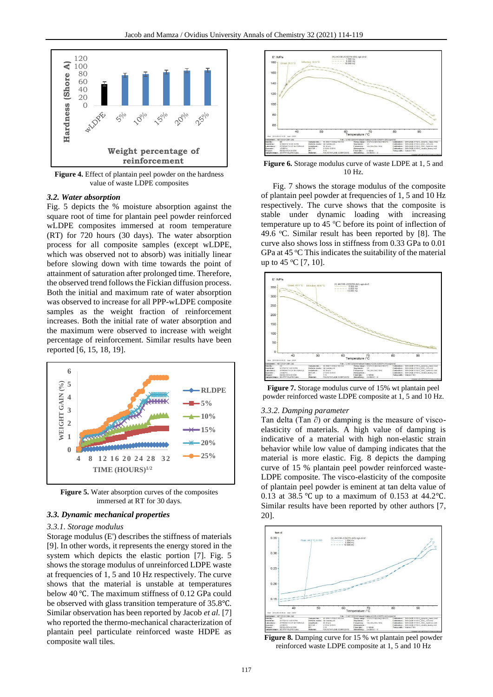

**Figure 4.** Effect of plantain peel powder on the hardness value of waste LDPE composites

#### *3.2. Water absorption*

Fig. 5 depicts the % moisture absorption against the square root of time for plantain peel powder reinforced wLDPE composites immersed at room temperature (RT) for 720 hours (30 days). The water absorption process for all composite samples (except wLDPE, which was observed not to absorb) was initially linear before slowing down with time towards the point of attainment of saturation after prolonged time. Therefore, the observed trend follows the Fickian diffusion process. Both the initial and maximum rate of water absorption was observed to increase for all PPP-wLDPE composite samples as the weight fraction of reinforcement increases. Both the initial rate of water absorption and the maximum were observed to increase with weight percentage of reinforcement. Similar results have been reported [6, 15, 18, 19].



**Figure 5.** Water absorption curves of the composites immersed at RT for 30 days.

#### *3.3. Dynamic mechanical properties*

#### *3.3.1. Storage modulus*

Storage modulus (E') describes the stiffness of materials [9]. In other words, it represents the energy stored in the system which depicts the elastic portion [7]. Fig. 5 shows the storage modulus of unreinforced LDPE waste at frequencies of 1, 5 and 10 Hz respectively. The curve shows that the material is unstable at temperatures below 40 ℃. The maximum stiffness of 0.12 GPa could be observed with glass transition temperature of 35.8℃. Similar observation has been reported by Jacob *et al.* [7] who reported the thermo-mechanical characterization of plantain peel particulate reinforced waste HDPE as composite wall tiles.



**Figure 6.** Storage modulus curve of waste LDPE at 1, 5 and 10 Hz.

Fig. 7 shows the storage modulus of the composite of plantain peel powder at frequencies of 1, 5 and 10 Hz respectively. The curve shows that the composite is stable under dynamic loading with increasing temperature up to 45  $\degree$ C before its point of inflection of 49.6  $^{\circ}$ C. Similar result has been reported by [8]. The curve also shows loss in stiffness from 0.33 GPa to 0.01 GPa at  $45^{\circ}$ C This indicates the suitability of the material up to 45  $\rm{°C}$  [7, 10].



**Figure 7.** Storage modulus curve of 15% wt plantain peel powder reinforced waste LDPE composite at 1, 5 and 10 Hz.

#### *3.3.2. Damping parameter*

Tan delta (Tan ∂) or damping is the measure of viscoelasticity of materials. A high value of damping is indicative of a material with high non-elastic strain behavior while low value of damping indicates that the material is more elastic. Fig. 8 depicts the damping curve of 15 % plantain peel powder reinforced waste-LDPE composite. The visco-elasticity of the composite of plantain peel powder is eminent at tan delta value of 0.13 at 38.5 ℃ up to a maximum of 0.153 at 44.2℃. Similar results have been reported by other authors [7, 20].



**Figure 8.** Damping curve for 15 % wt plantain peel powder reinforced waste LDPE composite at 1, 5 and 10 Hz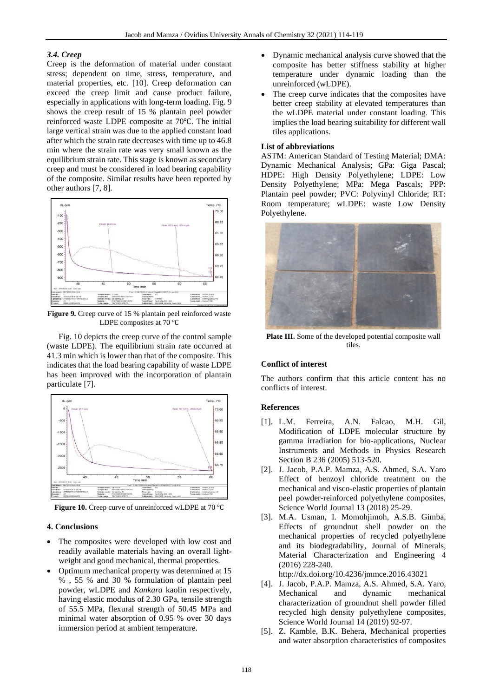#### *3.4. Creep*

Creep is the deformation of material under constant stress; dependent on time, stress, temperature, and material properties, etc. [10]. Creep deformation can exceed the creep limit and cause product failure, especially in applications with long-term loading. Fig. 9 shows the creep result of 15 % plantain peel powder reinforced waste LDPE composite at 70℃. The initial large vertical strain was due to the applied constant load after which the strain rate decreases with time up to 46.8 min where the strain rate was very small known as the equilibrium strain rate. This stage is known as secondary creep and must be considered in load bearing capability of the composite. Similar results have been reported by other authors [7, 8].



**Figure 9.** Creep curve of 15 % plantain peel reinforced waste LDPE composites at 70 ℃

Fig. 10 depicts the creep curve of the control sample (waste LDPE). The equilibrium strain rate occurred at 41.3 min which is lower than that of the composite. This indicates that the load bearing capability of waste LDPE has been improved with the incorporation of plantain particulate [7].



**Figure 10.** Creep curve of unreinforced wLDPE at 70 ℃

## **4. Conclusions**

- The composites were developed with low cost and readily available materials having an overall lightweight and good mechanical, thermal properties.
- Optimum mechanical property was determined at 15 % , 55 % and 30 % formulation of plantain peel powder, wLDPE and *Kankara* kaolin respectively, having elastic modulus of 2.30 GPa, tensile strength of 55.5 MPa, flexural strength of 50.45 MPa and minimal water absorption of 0.95 % over 30 days immersion period at ambient temperature.
- Dynamic mechanical analysis curve showed that the composite has better stiffness stability at higher temperature under dynamic loading than the unreinforced (wLDPE).
- The creep curve indicates that the composites have better creep stability at elevated temperatures than the wLDPE material under constant loading. This implies the load bearing suitability for different wall tiles applications.

#### **List of abbreviations**

ASTM: American Standard of Testing Material; DMA: Dynamic Mechanical Analysis; GPa: Giga Pascal; HDPE: High Density Polyethylene; LDPE: Low Density Polyethylene; MPa: Mega Pascals; PPP: Plantain peel powder; PVC: Polyvinyl Chloride; RT: Room temperature; wLDPE: waste Low Density Polyethylene.



**Plate III.** Some of the developed potential composite wall tiles.

#### **Conflict of interest**

The authors confirm that this article content has no conflicts of interest.

## **References**

- [1]. L.M. Ferreira, A.N. Falcao, M.H. Gil, Modification of LDPE molecular structure by gamma irradiation for bio-applications, Nuclear Instruments and Methods in Physics Research Section B 236 (2005) 513-520.
- [2]. J. Jacob, P.A.P. Mamza, A.S. Ahmed, S.A. Yaro Effect of benzoyl chloride treatment on the mechanical and visco-elastic properties of plantain peel powder-reinforced polyethylene composites, Science World Journal 13 (2018) 25-29.
- [3]. M.A. Usman, I. Momohjimoh, A.S.B. Gimba, Effects of groundnut shell powder on the mechanical properties of recycled polyethylene and its biodegradability, Journal of Minerals, Material Characterization and Engineering 4 (2016) 228-240.

http://dx.doi.org/10.4236/jmmce.2016.43021

- [4]. J. Jacob, P.A.P. Mamza, A.S. Ahmed, S.A. Yaro, Mechanical and dynamic mechanical characterization of groundnut shell powder filled recycled high density polyethylene composites, Science World Journal 14 (2019) 92-97.
- [5]. Z. Kamble, B.K. Behera, Mechanical properties and water absorption characteristics of composites